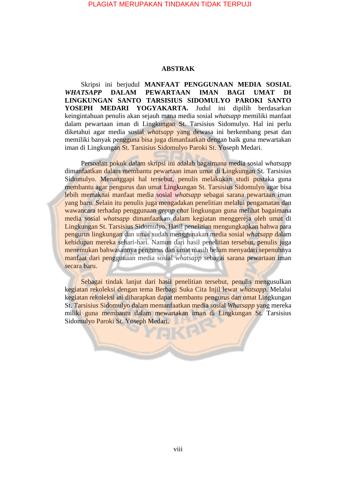## PLAGIAT MERUPAKAN TINDAKAN TIDAK TERPUJI

## **ABSTRAK**

Skripsi ini berjudul **MANFAAT PENGGUNAAN MEDIA SOSIAL**  *WHATSAPP* **DALAM PEWARTAAN IMAN BAGI UMAT DI LINGKUNGAN SANTO TARSISIUS SIDOMULYO PAROKI SANTO YOSEPH MEDARI YOGYAKARTA.** Judul ini dipilih berdasarkan keingintahuan penulis akan sejauh mana media sosial *whatsapp* memiliki manfaat dalam pewartaan iman di Lingkungan St. Tarsisius Sidomulyo. Hal ini perlu diketahui agar media sosial *whatsapp* yang dewasa ini berkembang pesat dan memiliki banyak pengguna bisa juga dimanfaatkan dengan baik guna mewartakan iman di Lingkungan St. Tarsisius Sidomulyo Paroki St. Yoseph Medari.

Persoalan pokok dalam skripsi ini adalah bagaimana media sosial *whatsapp*  dimanfaatkan dalam membantu pewartaan iman umat di Lingkungan St. Tarsisius Sidomulyo. Menanggapi hal tersebut, penulis melakukan studi pustaka guna membantu agar pengurus dan umat Lingkungan St. Tarsisius Sidomulyo agar bisa lebih memaknai manfaat media sosial *whatsapp* sebagai sarana pewartaan iman yang baru. Selain itu penulis juga mengadakan penelitian melalui pengamatan dan wawancara terhadap penggunaan *group chat* lingkungan guna melihat bagaimana media sosial *whatsapp* dimanfaatkan dalam kegiatan menggereja oleh umat di Lingkungan St. Tarsisius Sidomulyo. Hasil penelitian mengungkapkan bahwa para pengurus lingkungan dan umat sudah menggunakan media sosial *whatsapp* dalam kehidupan mereka sehari-hari. Namun dari hasil penelitian tersebut, penulis juga menemukan bahwasannya pengurus dan umat masih belum menyadari sepenuhnya manfaat dari penggunaan media sosial *whatsapp* sebagai sarana pewartaan iman secara baru.

Sebagai tindak lanjut dari hasil penelitian tersebut, penulis mengusulkan kegiatan rekoleksi dengan tema Berbagi Suka Cita Injil lewat *whatsapp*. Melalui kegiatan rekoleksi ini diharapkan dapat membantu pengurus dan umat Lingkungan St. Tarsisius Sidomulyo dalam memanfaatkan media sosial *Whatsapp* yang mereka miliki guna membantu dalam mewartakan iman di Lingkungan St. Tarsisius Sidomulyo Paroki St. Yoseph Medari.